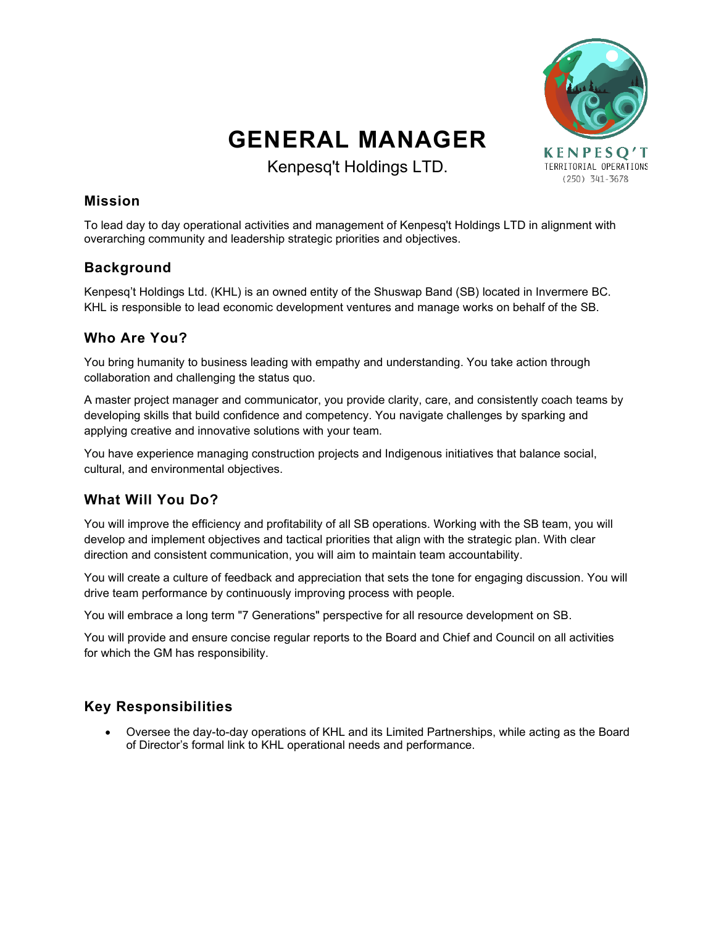

# **GENERAL MANAGER**

Kenpesq't Holdings LTD.

#### **Mission**

To lead day to day operational activities and management of Kenpesq't Holdings LTD in alignment with overarching community and leadership strategic priorities and objectives.

## **Background**

Kenpesq't Holdings Ltd. (KHL) is an owned entity of the Shuswap Band (SB) located in Invermere BC. KHL is responsible to lead economic development ventures and manage works on behalf of the SB.

# **Who Are You?**

You bring humanity to business leading with empathy and understanding. You take action through collaboration and challenging the status quo.

A master project manager and communicator, you provide clarity, care, and consistently coach teams by developing skills that build confidence and competency. You navigate challenges by sparking and applying creative and innovative solutions with your team.

You have experience managing construction projects and Indigenous initiatives that balance social, cultural, and environmental objectives.

#### **What Will You Do?**

You will improve the efficiency and profitability of all SB operations. Working with the SB team, you will develop and implement objectives and tactical priorities that align with the strategic plan. With clear direction and consistent communication, you will aim to maintain team accountability.

You will create a culture of feedback and appreciation that sets the tone for engaging discussion. You will drive team performance by continuously improving process with people.

You will embrace a long term "7 Generations" perspective for all resource development on SB.

You will provide and ensure concise regular reports to the Board and Chief and Council on all activities for which the GM has responsibility.

# **Key Responsibilities**

• Oversee the day-to-day operations of KHL and its Limited Partnerships, while acting as the Board of Director's formal link to KHL operational needs and performance.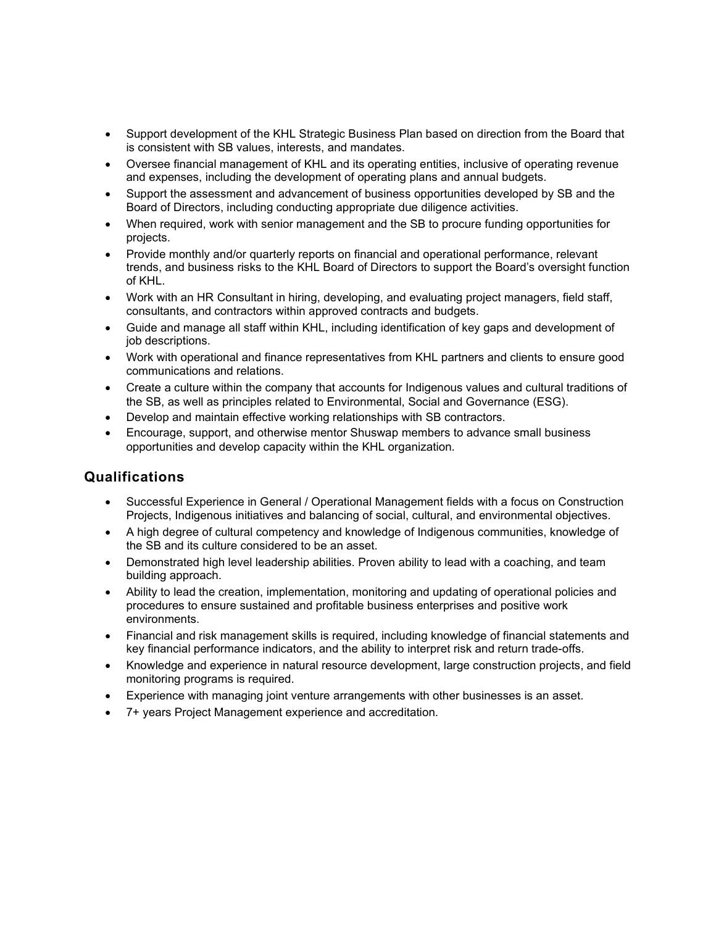- Support development of the KHL Strategic Business Plan based on direction from the Board that is consistent with SB values, interests, and mandates.
- Oversee financial management of KHL and its operating entities, inclusive of operating revenue and expenses, including the development of operating plans and annual budgets.
- Support the assessment and advancement of business opportunities developed by SB and the Board of Directors, including conducting appropriate due diligence activities.
- When required, work with senior management and the SB to procure funding opportunities for projects.
- Provide monthly and/or quarterly reports on financial and operational performance, relevant trends, and business risks to the KHL Board of Directors to support the Board's oversight function of KHL.
- Work with an HR Consultant in hiring, developing, and evaluating project managers, field staff, consultants, and contractors within approved contracts and budgets.
- Guide and manage all staff within KHL, including identification of key gaps and development of job descriptions.
- Work with operational and finance representatives from KHL partners and clients to ensure good communications and relations.
- Create a culture within the company that accounts for Indigenous values and cultural traditions of the SB, as well as principles related to Environmental, Social and Governance (ESG).
- Develop and maintain effective working relationships with SB contractors.
- Encourage, support, and otherwise mentor Shuswap members to advance small business opportunities and develop capacity within the KHL organization.

#### **Qualifications**

- Successful Experience in General / Operational Management fields with a focus on Construction Projects, Indigenous initiatives and balancing of social, cultural, and environmental objectives.
- A high degree of cultural competency and knowledge of Indigenous communities, knowledge of the SB and its culture considered to be an asset.
- Demonstrated high level leadership abilities. Proven ability to lead with a coaching, and team building approach.
- Ability to lead the creation, implementation, monitoring and updating of operational policies and procedures to ensure sustained and profitable business enterprises and positive work environments.
- Financial and risk management skills is required, including knowledge of financial statements and key financial performance indicators, and the ability to interpret risk and return trade-offs.
- Knowledge and experience in natural resource development, large construction projects, and field monitoring programs is required.
- Experience with managing joint venture arrangements with other businesses is an asset.
- 7+ years Project Management experience and accreditation.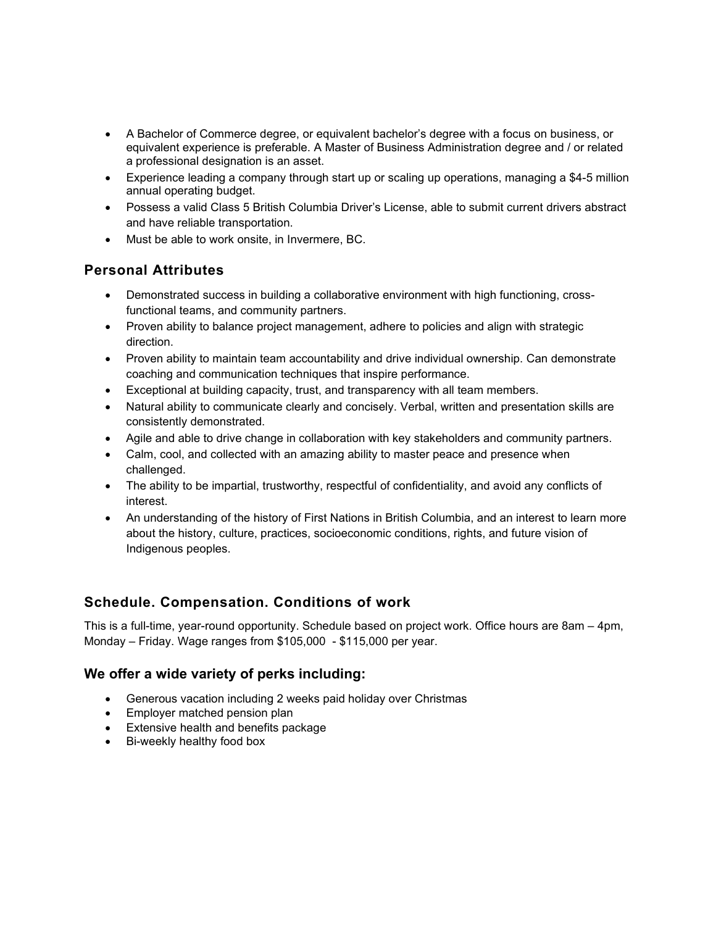- A Bachelor of Commerce degree, or equivalent bachelor's degree with a focus on business, or equivalent experience is preferable. A Master of Business Administration degree and / or related a professional designation is an asset.
- Experience leading a company through start up or scaling up operations, managing a \$4-5 million annual operating budget.
- Possess a valid Class 5 British Columbia Driver's License, able to submit current drivers abstract and have reliable transportation.
- Must be able to work onsite, in Invermere, BC.

## **Personal Attributes**

- Demonstrated success in building a collaborative environment with high functioning, crossfunctional teams, and community partners.
- Proven ability to balance project management, adhere to policies and align with strategic direction.
- Proven ability to maintain team accountability and drive individual ownership. Can demonstrate coaching and communication techniques that inspire performance.
- Exceptional at building capacity, trust, and transparency with all team members.
- Natural ability to communicate clearly and concisely. Verbal, written and presentation skills are consistently demonstrated.
- Agile and able to drive change in collaboration with key stakeholders and community partners.
- Calm, cool, and collected with an amazing ability to master peace and presence when challenged.
- The ability to be impartial, trustworthy, respectful of confidentiality, and avoid any conflicts of interest.
- An understanding of the history of First Nations in British Columbia, and an interest to learn more about the history, culture, practices, socioeconomic conditions, rights, and future vision of Indigenous peoples.

# **Schedule. Compensation. Conditions of work**

This is a full-time, year-round opportunity. Schedule based on project work. Office hours are 8am – 4pm, Monday – Friday. Wage ranges from \$105,000 - \$115,000 per year.

#### **We offer a wide variety of perks including:**

- Generous vacation including 2 weeks paid holiday over Christmas
- Employer matched pension plan
- Extensive health and benefits package
- Bi-weekly healthy food box